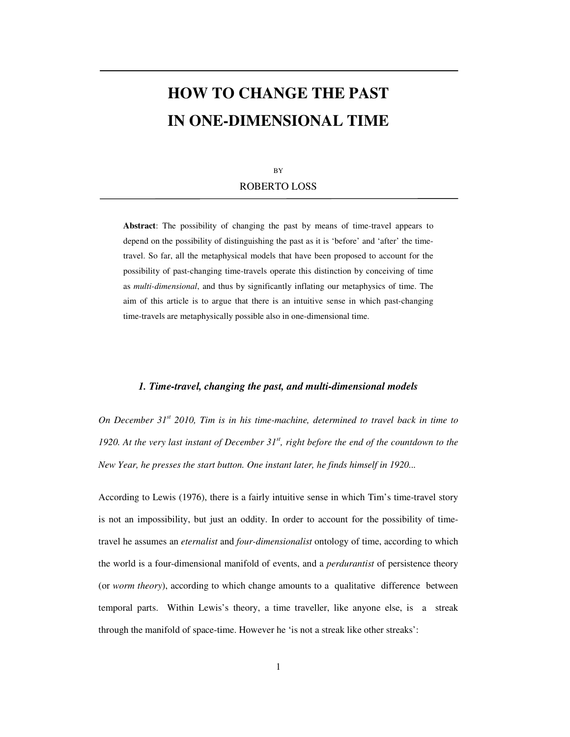# **HOW TO CHANGE THE PAST IN ONE-DIMENSIONAL TIME**

# BY

## ROBERTO LOSS

**Abstract**: The possibility of changing the past by means of time-travel appears to depend on the possibility of distinguishing the past as it is 'before' and 'after' the timetravel. So far, all the metaphysical models that have been proposed to account for the possibility of past-changing time-travels operate this distinction by conceiving of time as *multi-dimensional*, and thus by significantly inflating our metaphysics of time. The aim of this article is to argue that there is an intuitive sense in which past-changing time-travels are metaphysically possible also in one-dimensional time.

#### *1. Time-travel, changing the past, and multi-dimensional models*

*On December 31st 2010, Tim is in his time-machine, determined to travel back in time to 1920. At the very last instant of December 31st, right before the end of the countdown to the New Year, he presses the start button. One instant later, he finds himself in 1920...* 

According to Lewis (1976), there is a fairly intuitive sense in which Tim's time-travel story is not an impossibility, but just an oddity. In order to account for the possibility of timetravel he assumes an *eternalist* and *four-dimensionalist* ontology of time, according to which the world is a four-dimensional manifold of events, and a *perdurantist* of persistence theory (or *worm theory*), according to which change amounts to a qualitative difference between temporal parts. Within Lewis's theory, a time traveller, like anyone else, is a streak through the manifold of space-time. However he 'is not a streak like other streaks':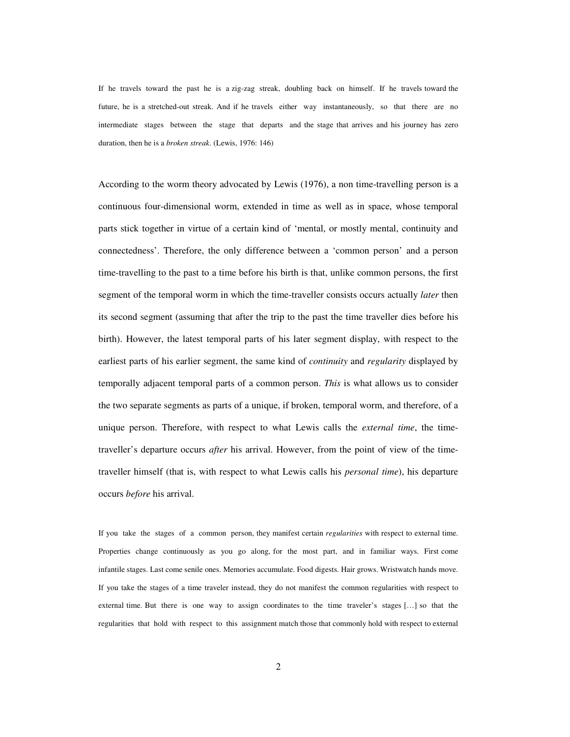If he travels toward the past he is a zig-zag streak, doubling back on himself. If he travels toward the future, he is a stretched-out streak. And if he travels either way instantaneously, so that there are no intermediate stages between the stage that departs and the stage that arrives and his journey has zero duration, then he is a *broken streak*. (Lewis, 1976: 146)

According to the worm theory advocated by Lewis (1976), a non time-travelling person is a continuous four-dimensional worm, extended in time as well as in space, whose temporal parts stick together in virtue of a certain kind of 'mental, or mostly mental, continuity and connectedness'. Therefore, the only difference between a 'common person' and a person time-travelling to the past to a time before his birth is that, unlike common persons, the first segment of the temporal worm in which the time-traveller consists occurs actually *later* then its second segment (assuming that after the trip to the past the time traveller dies before his birth). However, the latest temporal parts of his later segment display, with respect to the earliest parts of his earlier segment, the same kind of *continuity* and *regularity* displayed by temporally adjacent temporal parts of a common person. *This* is what allows us to consider the two separate segments as parts of a unique, if broken, temporal worm, and therefore, of a unique person. Therefore, with respect to what Lewis calls the *external time*, the timetraveller's departure occurs *after* his arrival. However, from the point of view of the timetraveller himself (that is, with respect to what Lewis calls his *personal time*), his departure occurs *before* his arrival.

If you take the stages of a common person, they manifest certain *regularities* with respect to external time. Properties change continuously as you go along, for the most part, and in familiar ways. First come infantile stages. Last come senile ones. Memories accumulate. Food digests. Hair grows. Wristwatch hands move. If you take the stages of a time traveler instead, they do not manifest the common regularities with respect to external time. But there is one way to assign coordinates to the time traveler's stages […] so that the regularities that hold with respect to this assignment match those that commonly hold with respect to external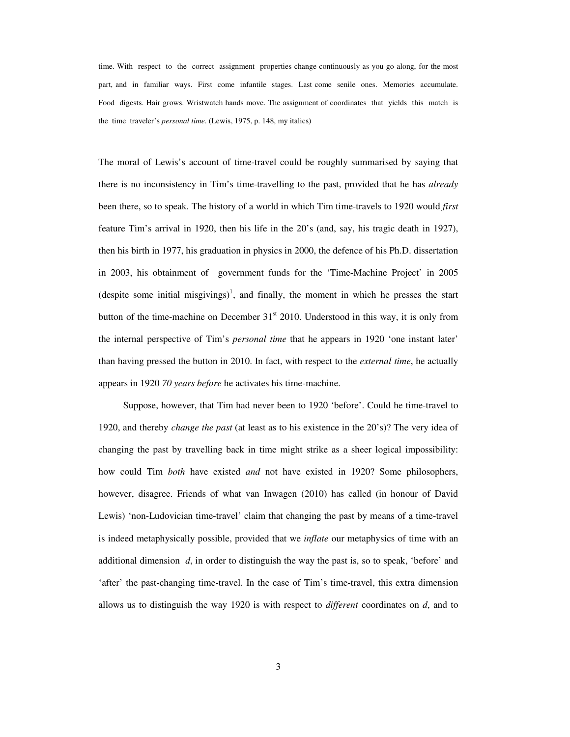time. With respect to the correct assignment properties change continuously as you go along, for the most part, and in familiar ways. First come infantile stages. Last come senile ones. Memories accumulate. Food digests. Hair grows. Wristwatch hands move. The assignment of coordinates that yields this match is the time traveler's *personal time*. (Lewis, 1975, p. 148, my italics)

The moral of Lewis's account of time-travel could be roughly summarised by saying that there is no inconsistency in Tim's time-travelling to the past, provided that he has *already* been there, so to speak. The history of a world in which Tim time-travels to 1920 would *first* feature Tim's arrival in 1920, then his life in the 20's (and, say, his tragic death in 1927), then his birth in 1977, his graduation in physics in 2000, the defence of his Ph.D. dissertation in 2003, his obtainment of government funds for the 'Time-Machine Project' in 2005 (despite some initial misgivings)<sup>1</sup>, and finally, the moment in which he presses the start button of the time-machine on December  $31<sup>st</sup>$  2010. Understood in this way, it is only from the internal perspective of Tim's *personal time* that he appears in 1920 'one instant later' than having pressed the button in 2010. In fact, with respect to the *external time*, he actually appears in 1920 *70 years before* he activates his time-machine.

Suppose, however, that Tim had never been to 1920 'before'. Could he time-travel to 1920, and thereby *change the past* (at least as to his existence in the 20's)? The very idea of changing the past by travelling back in time might strike as a sheer logical impossibility: how could Tim *both* have existed *and* not have existed in 1920? Some philosophers, however, disagree. Friends of what van Inwagen (2010) has called (in honour of David Lewis) 'non-Ludovician time-travel' claim that changing the past by means of a time-travel is indeed metaphysically possible, provided that we *inflate* our metaphysics of time with an additional dimension *d*, in order to distinguish the way the past is, so to speak, 'before' and 'after' the past-changing time-travel. In the case of Tim's time-travel, this extra dimension allows us to distinguish the way 1920 is with respect to *different* coordinates on *d*, and to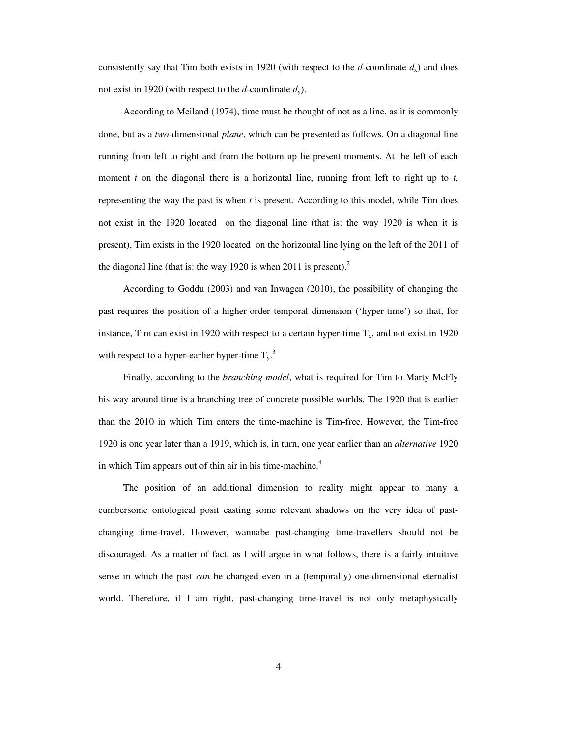consistently say that Tim both exists in 1920 (with respect to the *d*-coordinate  $d_x$ ) and does not exist in 1920 (with respect to the *d*-coordinate  $d_v$ ).

According to Meiland (1974), time must be thought of not as a line, as it is commonly done, but as a *two*-dimensional *plane*, which can be presented as follows. On a diagonal line running from left to right and from the bottom up lie present moments. At the left of each moment *t* on the diagonal there is a horizontal line, running from left to right up to *t*, representing the way the past is when *t* is present. According to this model, while Tim does not exist in the 1920 located on the diagonal line (that is: the way 1920 is when it is present), Tim exists in the 1920 located on the horizontal line lying on the left of the 2011 of the diagonal line (that is: the way 1920 is when 2011 is present). $2$ 

According to Goddu (2003) and van Inwagen (2010), the possibility of changing the past requires the position of a higher-order temporal dimension ('hyper-time') so that, for instance, Tim can exist in 1920 with respect to a certain hyper-time  $T_x$ , and not exist in 1920 with respect to a hyper-earlier hyper-time  $T_{y}$ .<sup>3</sup>

Finally, according to the *branching model*, what is required for Tim to Marty McFly his way around time is a branching tree of concrete possible worlds. The 1920 that is earlier than the 2010 in which Tim enters the time-machine is Tim-free. However, the Tim-free 1920 is one year later than a 1919, which is, in turn, one year earlier than an *alternative* 1920 in which Tim appears out of thin air in his time-machine.<sup>4</sup>

The position of an additional dimension to reality might appear to many a cumbersome ontological posit casting some relevant shadows on the very idea of pastchanging time-travel. However, wannabe past-changing time-travellers should not be discouraged. As a matter of fact, as I will argue in what follows, there is a fairly intuitive sense in which the past *can* be changed even in a (temporally) one-dimensional eternalist world. Therefore, if I am right, past-changing time-travel is not only metaphysically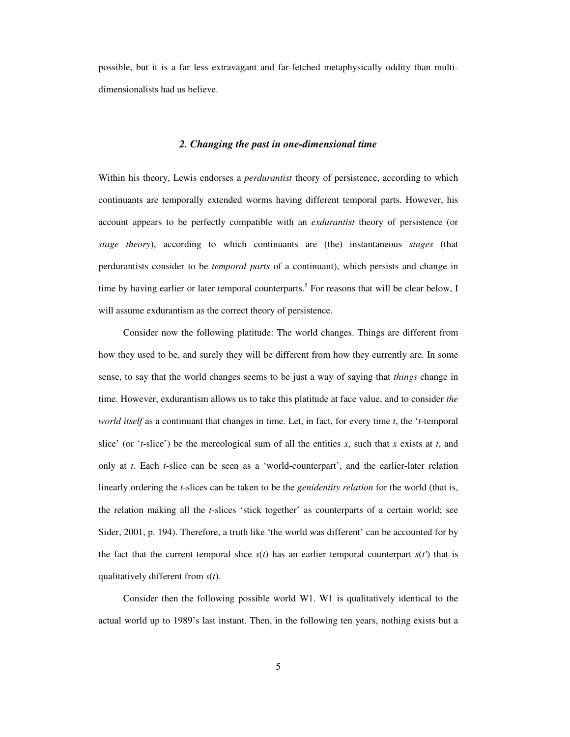possible, but it is a far less extravagant and far-fetched metaphysically oddity than multidimensionalists had us believe.

#### *2. Changing the past in one-dimensional time*

Within his theory, Lewis endorses a *perdurantist* theory of persistence, according to which continuants are temporally extended worms having different temporal parts. However, his account appears to be perfectly compatible with an *exdurantist* theory of persistence (or *stage theory*), according to which continuants are (the) instantaneous *stages* (that perdurantists consider to be *temporal parts* of a continuant), which persists and change in time by having earlier or later temporal counterparts.<sup>5</sup> For reasons that will be clear below, I will assume exdurantism as the correct theory of persistence.

Consider now the following platitude: The world changes. Things are different from how they used to be, and surely they will be different from how they currently are. In some sense, to say that the world changes seems to be just a way of saying that *things* change in time. However, exdurantism allows us to take this platitude at face value, and to consider *the world itself* as a continuant that changes in time. Let, in fact, for every time *t*, the '*t-*temporal slice' (or '*t*-slice') be the mereological sum of all the entities  $x$ , such that  $x$  exists at  $t$ , and only at *t*. Each *t*-slice can be seen as a 'world-counterpart', and the earlier-later relation linearly ordering the *t*-slices can be taken to be the *genidentity relation* for the world (that is, the relation making all the *t*-slices 'stick together' as counterparts of a certain world; see Sider, 2001, p. 194). Therefore, a truth like 'the world was different' can be accounted for by the fact that the current temporal slice  $s(t)$  has an earlier temporal counterpart  $s(t')$  that is qualitatively different from *s*(*t*).

Consider then the following possible world W1. W1 is qualitatively identical to the actual world up to 1989's last instant. Then, in the following ten years, nothing exists but a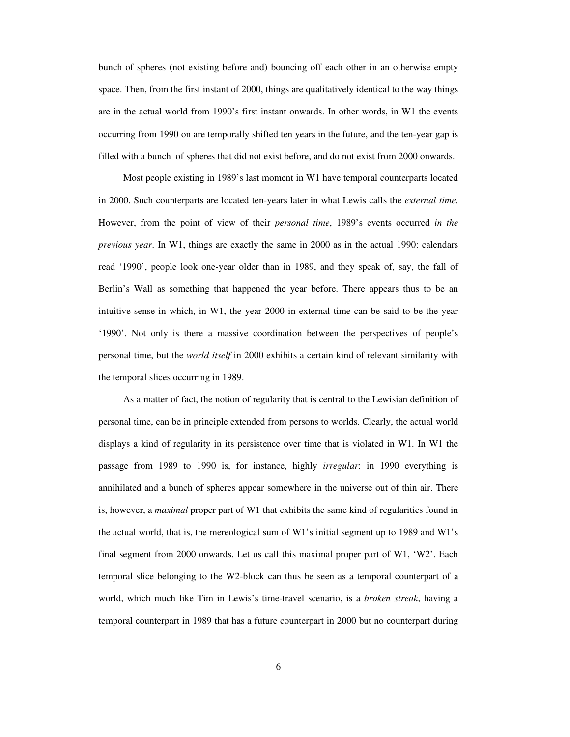bunch of spheres (not existing before and) bouncing off each other in an otherwise empty space. Then, from the first instant of 2000, things are qualitatively identical to the way things are in the actual world from 1990's first instant onwards. In other words, in W1 the events occurring from 1990 on are temporally shifted ten years in the future, and the ten-year gap is filled with a bunch of spheres that did not exist before, and do not exist from 2000 onwards.

Most people existing in 1989's last moment in W1 have temporal counterparts located in 2000. Such counterparts are located ten-years later in what Lewis calls the *external time*. However, from the point of view of their *personal time*, 1989's events occurred *in the previous year*. In W1, things are exactly the same in 2000 as in the actual 1990: calendars read '1990', people look one-year older than in 1989, and they speak of, say, the fall of Berlin's Wall as something that happened the year before. There appears thus to be an intuitive sense in which, in W1, the year 2000 in external time can be said to be the year '1990'. Not only is there a massive coordination between the perspectives of people's personal time, but the *world itself* in 2000 exhibits a certain kind of relevant similarity with the temporal slices occurring in 1989.

As a matter of fact, the notion of regularity that is central to the Lewisian definition of personal time, can be in principle extended from persons to worlds. Clearly, the actual world displays a kind of regularity in its persistence over time that is violated in W1. In W1 the passage from 1989 to 1990 is, for instance, highly *irregular*: in 1990 everything is annihilated and a bunch of spheres appear somewhere in the universe out of thin air. There is, however, a *maximal* proper part of W1 that exhibits the same kind of regularities found in the actual world, that is, the mereological sum of W1's initial segment up to 1989 and W1's final segment from 2000 onwards. Let us call this maximal proper part of W1, 'W2'. Each temporal slice belonging to the W2-block can thus be seen as a temporal counterpart of a world, which much like Tim in Lewis's time-travel scenario, is a *broken streak*, having a temporal counterpart in 1989 that has a future counterpart in 2000 but no counterpart during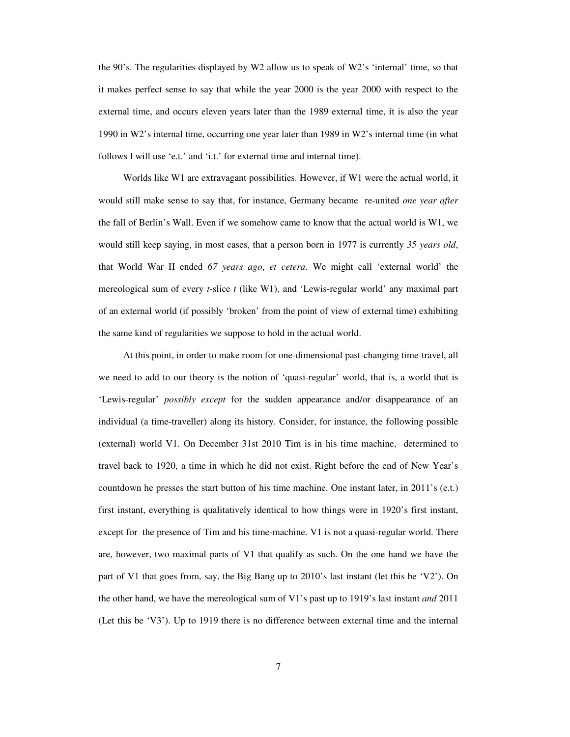the 90's. The regularities displayed by W2 allow us to speak of W2's 'internal' time, so that it makes perfect sense to say that while the year 2000 is the year 2000 with respect to the external time, and occurs eleven years later than the 1989 external time, it is also the year 1990 in W2's internal time, occurring one year later than 1989 in W2's internal time (in what follows I will use 'e.t.' and 'i.t.' for external time and internal time).

Worlds like W1 are extravagant possibilities. However, if W1 were the actual world, it would still make sense to say that, for instance, Germany became re-united *one year after* the fall of Berlin's Wall. Even if we somehow came to know that the actual world is W1, we would still keep saying, in most cases, that a person born in 1977 is currently *35 years old*, that World War II ended *67 years ago*, *et cetera*. We might call 'external world' the mereological sum of every *t*-slice *t* (like W1), and 'Lewis-regular world' any maximal part of an external world (if possibly 'broken' from the point of view of external time) exhibiting the same kind of regularities we suppose to hold in the actual world.

At this point, in order to make room for one-dimensional past-changing time-travel, all we need to add to our theory is the notion of 'quasi-regular' world, that is, a world that is 'Lewis-regular' *possibly except* for the sudden appearance and/or disappearance of an individual (a time-traveller) along its history. Consider, for instance, the following possible (external) world V1. On December 31st 2010 Tim is in his time machine, determined to travel back to 1920, a time in which he did not exist. Right before the end of New Year's countdown he presses the start button of his time machine. One instant later, in 2011's (e.t.) first instant, everything is qualitatively identical to how things were in 1920's first instant, except for the presence of Tim and his time-machine. V1 is not a quasi-regular world. There are, however, two maximal parts of V1 that qualify as such. On the one hand we have the part of V1 that goes from, say, the Big Bang up to 2010's last instant (let this be 'V2'). On the other hand, we have the mereological sum of V1's past up to 1919's last instant *and* 2011 (Let this be 'V3'). Up to 1919 there is no difference between external time and the internal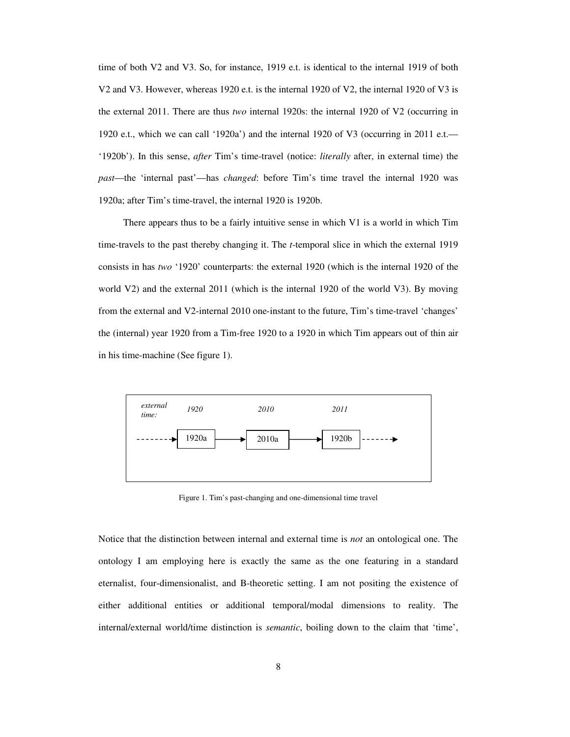time of both V2 and V3. So, for instance, 1919 e.t. is identical to the internal 1919 of both V2 and V3. However, whereas 1920 e.t. is the internal 1920 of V2, the internal 1920 of V3 is the external 2011. There are thus *two* internal 1920s: the internal 1920 of V2 (occurring in 1920 e.t., which we can call '1920a') and the internal 1920 of V3 (occurring in 2011 e.t.— '1920b'). In this sense, *after* Tim's time-travel (notice: *literally* after, in external time) the *past*—the 'internal past'—has *changed*: before Tim's time travel the internal 1920 was 1920a; after Tim's time-travel, the internal 1920 is 1920b.

There appears thus to be a fairly intuitive sense in which V1 is a world in which Tim time-travels to the past thereby changing it. The *t*-temporal slice in which the external 1919 consists in has *two* '1920' counterparts: the external 1920 (which is the internal 1920 of the world V2) and the external 2011 (which is the internal 1920 of the world V3). By moving from the external and V2-internal 2010 one-instant to the future, Tim's time-travel 'changes' the (internal) year 1920 from a Tim-free 1920 to a 1920 in which Tim appears out of thin air in his time-machine (See figure 1).



Figure 1. Tim's past-changing and one-dimensional time travel

Notice that the distinction between internal and external time is *not* an ontological one. The ontology I am employing here is exactly the same as the one featuring in a standard eternalist, four-dimensionalist, and B-theoretic setting. I am not positing the existence of either additional entities or additional temporal/modal dimensions to reality. The internal/external world/time distinction is *semantic*, boiling down to the claim that 'time',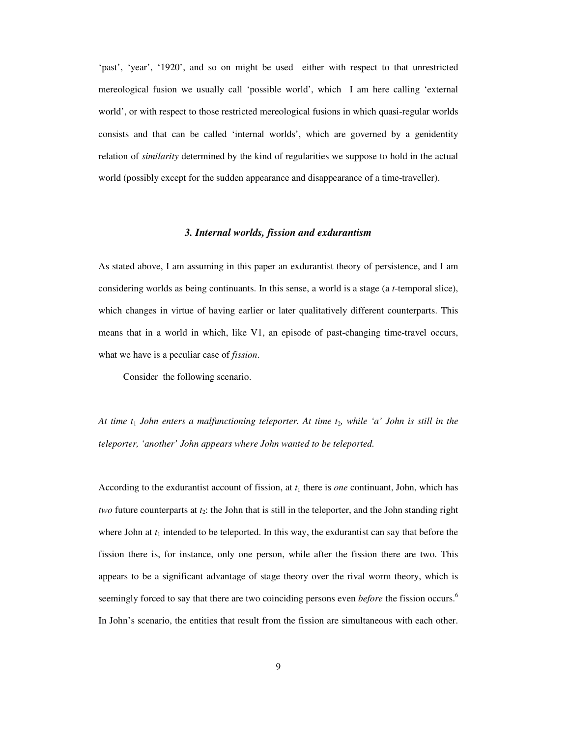'past', 'year', '1920', and so on might be used either with respect to that unrestricted mereological fusion we usually call 'possible world', which I am here calling 'external world', or with respect to those restricted mereological fusions in which quasi-regular worlds consists and that can be called 'internal worlds', which are governed by a genidentity relation of *similarity* determined by the kind of regularities we suppose to hold in the actual world (possibly except for the sudden appearance and disappearance of a time-traveller).

#### *3. Internal worlds, fission and exdurantism*

As stated above, I am assuming in this paper an exdurantist theory of persistence, and I am considering worlds as being continuants. In this sense, a world is a stage (a *t*-temporal slice), which changes in virtue of having earlier or later qualitatively different counterparts. This means that in a world in which, like V1, an episode of past-changing time-travel occurs, what we have is a peculiar case of *fission*.

Consider the following scenario.

*At time t*1 *John enters a malfunctioning teleporter. At time t*2*, while 'a' John is still in the teleporter, 'another' John appears where John wanted to be teleported.* 

According to the exdurantist account of fission, at  $t_1$  there is *one* continuant, John, which has *two* future counterparts at  $t_2$ : the John that is still in the teleporter, and the John standing right where John at  $t_1$  intended to be teleported. In this way, the exdurantist can say that before the fission there is, for instance, only one person, while after the fission there are two. This appears to be a significant advantage of stage theory over the rival worm theory, which is seemingly forced to say that there are two coinciding persons even *before* the fission occurs.<sup>6</sup> In John's scenario, the entities that result from the fission are simultaneous with each other.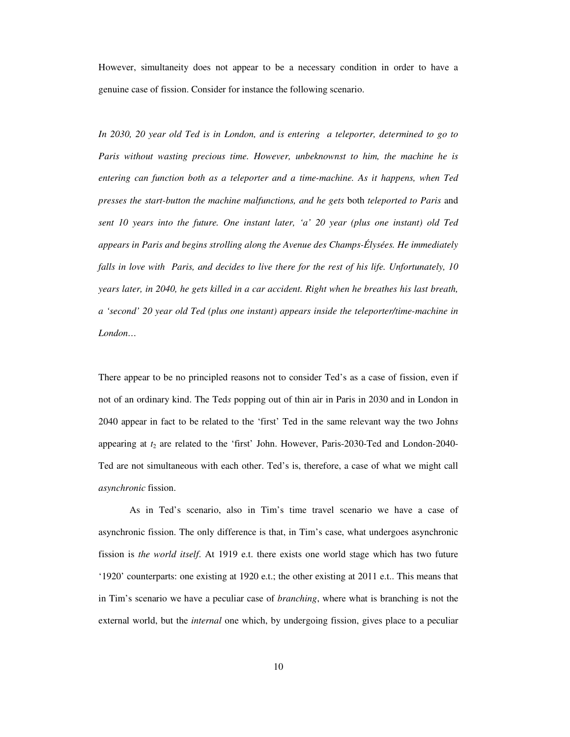However, simultaneity does not appear to be a necessary condition in order to have a genuine case of fission. Consider for instance the following scenario.

*In 2030, 20 year old Ted is in London, and is entering a teleporter, determined to go to Paris without wasting precious time. However, unbeknownst to him, the machine he is entering can function both as a teleporter and a time-machine. As it happens, when Ted presses the start-button the machine malfunctions, and he gets* both *teleported to Paris* and *sent 10 years into the future. One instant later, 'a' 20 year (plus one instant) old Ted appears in Paris and begins strolling along the Avenue des Champs-Élysées. He immediately falls in love with Paris, and decides to live there for the rest of his life. Unfortunately, 10 years later, in 2040, he gets killed in a car accident. Right when he breathes his last breath, a 'second' 20 year old Ted (plus one instant) appears inside the teleporter/time-machine in London…* 

There appear to be no principled reasons not to consider Ted's as a case of fission, even if not of an ordinary kind. The Ted*s* popping out of thin air in Paris in 2030 and in London in 2040 appear in fact to be related to the 'first' Ted in the same relevant way the two John*s* appearing at  $t_2$  are related to the 'first' John. However, Paris-2030-Ted and London-2040-Ted are not simultaneous with each other. Ted's is, therefore, a case of what we might call *asynchronic* fission.

As in Ted's scenario, also in Tim's time travel scenario we have a case of asynchronic fission. The only difference is that, in Tim's case, what undergoes asynchronic fission is *the world itself*. At 1919 e.t. there exists one world stage which has two future '1920' counterparts: one existing at 1920 e.t.; the other existing at 2011 e.t.. This means that in Tim's scenario we have a peculiar case of *branching*, where what is branching is not the external world, but the *internal* one which, by undergoing fission, gives place to a peculiar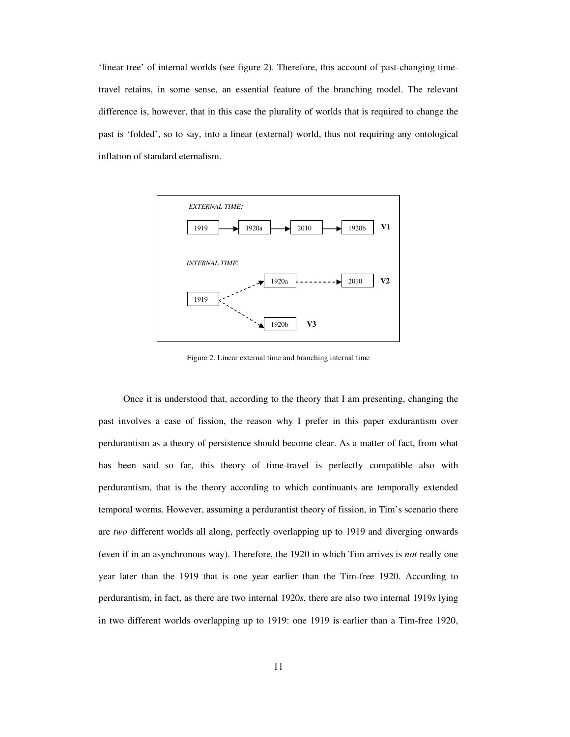'linear tree' of internal worlds (see figure 2). Therefore, this account of past-changing timetravel retains, in some sense, an essential feature of the branching model. The relevant difference is, however, that in this case the plurality of worlds that is required to change the past is 'folded', so to say, into a linear (external) world, thus not requiring any ontological inflation of standard eternalism.



Figure 2. Linear external time and branching internal time

Once it is understood that, according to the theory that I am presenting, changing the past involves a case of fission, the reason why I prefer in this paper exdurantism over perdurantism as a theory of persistence should become clear. As a matter of fact, from what has been said so far, this theory of time-travel is perfectly compatible also with perdurantism, that is the theory according to which continuants are temporally extended temporal worms. However, assuming a perdurantist theory of fission, in Tim's scenario there are *two* different worlds all along, perfectly overlapping up to 1919 and diverging onwards (even if in an asynchronous way). Therefore, the 1920 in which Tim arrives is *not* really one year later than the 1919 that is one year earlier than the Tim-free 1920. According to perdurantism, in fact, as there are two internal 1920*s*, there are also two internal 1919*s* lying in two different worlds overlapping up to 1919: one 1919 is earlier than a Tim-free 1920,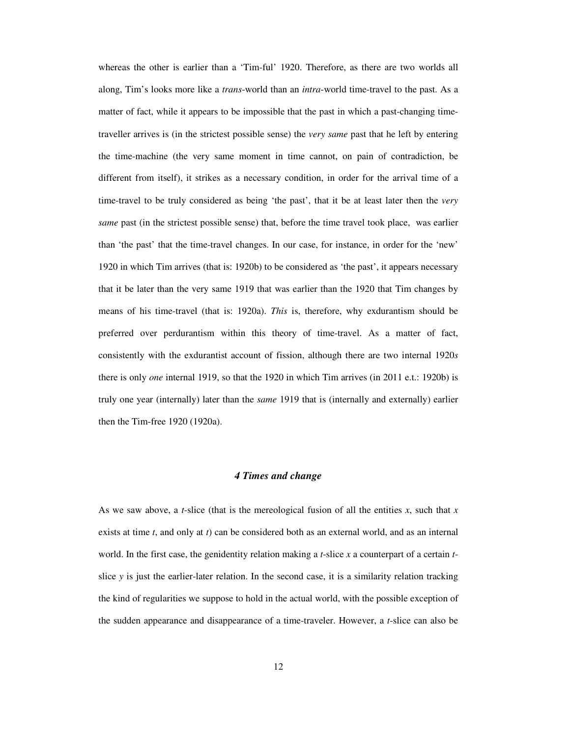whereas the other is earlier than a 'Tim-ful' 1920. Therefore, as there are two worlds all along, Tim's looks more like a *trans*-world than an *intra*-world time-travel to the past. As a matter of fact, while it appears to be impossible that the past in which a past-changing timetraveller arrives is (in the strictest possible sense) the *very same* past that he left by entering the time-machine (the very same moment in time cannot, on pain of contradiction, be different from itself), it strikes as a necessary condition, in order for the arrival time of a time-travel to be truly considered as being 'the past', that it be at least later then the *very same* past (in the strictest possible sense) that, before the time travel took place, was earlier than 'the past' that the time-travel changes. In our case, for instance, in order for the 'new' 1920 in which Tim arrives (that is: 1920b) to be considered as 'the past', it appears necessary that it be later than the very same 1919 that was earlier than the 1920 that Tim changes by means of his time-travel (that is: 1920a). *This* is, therefore, why exdurantism should be preferred over perdurantism within this theory of time-travel. As a matter of fact, consistently with the exdurantist account of fission, although there are two internal 1920*s* there is only *one* internal 1919, so that the 1920 in which Tim arrives (in 2011 e.t.: 1920b) is truly one year (internally) later than the *same* 1919 that is (internally and externally) earlier then the Tim-free 1920 (1920a).

## *4 Times and change*

As we saw above, a *t*-slice (that is the mereological fusion of all the entities *x*, such that *x* exists at time *t*, and only at *t*) can be considered both as an external world, and as an internal world. In the first case, the genidentity relation making a *t*-slice *x* a counterpart of a certain *t*slice *y* is just the earlier-later relation. In the second case, it is a similarity relation tracking the kind of regularities we suppose to hold in the actual world, with the possible exception of the sudden appearance and disappearance of a time-traveler. However, a *t*-slice can also be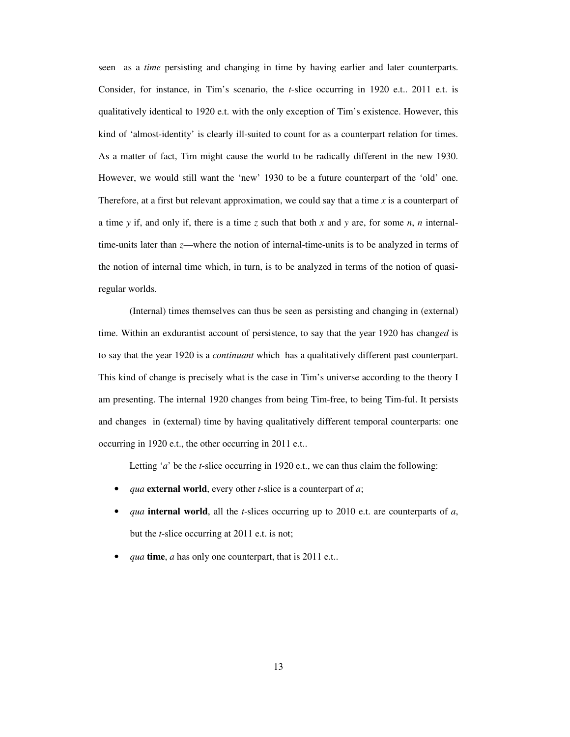seen as a *time* persisting and changing in time by having earlier and later counterparts. Consider, for instance, in Tim's scenario, the *t*-slice occurring in 1920 e.t.. 2011 e.t. is qualitatively identical to 1920 e.t. with the only exception of Tim's existence. However, this kind of 'almost-identity' is clearly ill-suited to count for as a counterpart relation for times. As a matter of fact, Tim might cause the world to be radically different in the new 1930. However, we would still want the 'new' 1930 to be a future counterpart of the 'old' one. Therefore, at a first but relevant approximation, we could say that a time *x* is a counterpart of a time *y* if, and only if, there is a time *z* such that both *x* and *y* are, for some *n*, *n* internaltime-units later than *z*—where the notion of internal-time-units is to be analyzed in terms of the notion of internal time which, in turn, is to be analyzed in terms of the notion of quasiregular worlds.

(Internal) times themselves can thus be seen as persisting and changing in (external) time. Within an exdurantist account of persistence, to say that the year 1920 has chang*ed* is to say that the year 1920 is a *continuant* which has a qualitatively different past counterpart. This kind of change is precisely what is the case in Tim's universe according to the theory I am presenting. The internal 1920 changes from being Tim-free, to being Tim-ful. It persists and changes in (external) time by having qualitatively different temporal counterparts: one occurring in 1920 e.t., the other occurring in 2011 e.t..

Letting '*a*' be the *t*-slice occurring in 1920 e.t., we can thus claim the following:

- *qua* **external world**, every other *t*-slice is a counterpart of *a*;
- *qua* **internal world**, all the *t*-slices occurring up to 2010 e.t. are counterparts of *a*, but the *t*-slice occurring at 2011 e.t. is not;
- *qua* **time**, *a* has only one counterpart, that is 2011 e.t..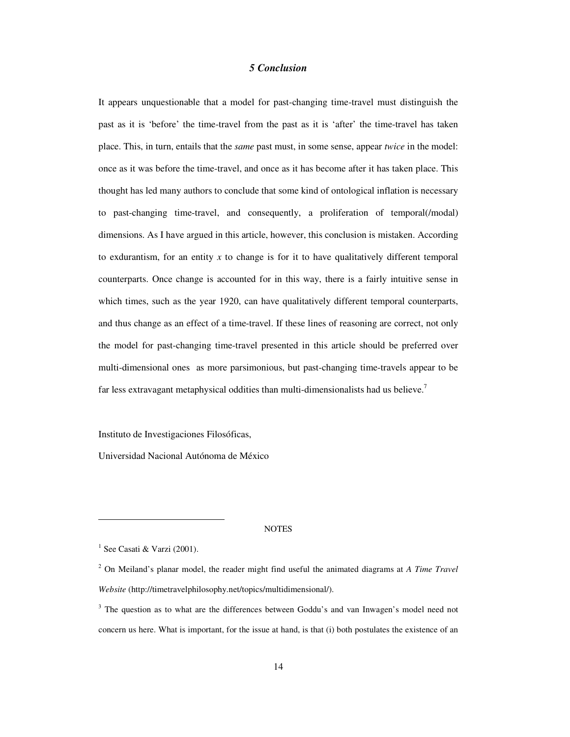## *5 Conclusion*

It appears unquestionable that a model for past-changing time-travel must distinguish the past as it is 'before' the time-travel from the past as it is 'after' the time-travel has taken place. This, in turn, entails that the *same* past must, in some sense, appear *twice* in the model: once as it was before the time-travel, and once as it has become after it has taken place. This thought has led many authors to conclude that some kind of ontological inflation is necessary to past-changing time-travel, and consequently, a proliferation of temporal(/modal) dimensions. As I have argued in this article, however, this conclusion is mistaken. According to exdurantism, for an entity *x* to change is for it to have qualitatively different temporal counterparts. Once change is accounted for in this way, there is a fairly intuitive sense in which times, such as the year 1920, can have qualitatively different temporal counterparts, and thus change as an effect of a time-travel. If these lines of reasoning are correct, not only the model for past-changing time-travel presented in this article should be preferred over multi-dimensional ones as more parsimonious, but past-changing time-travels appear to be far less extravagant metaphysical oddities than multi-dimensionalists had us believe.<sup>7</sup>

Instituto de Investigaciones Filosóficas,

Universidad Nacional Autónoma de México

#### **NOTES**

 $\ddot{ }$ 

<sup>&</sup>lt;sup>1</sup> See Casati & Varzi (2001).

<sup>2</sup> On Meiland's planar model, the reader might find useful the animated diagrams at *A Time Travel Website* (http://timetravelphilosophy.net/topics/multidimensional/).

<sup>&</sup>lt;sup>3</sup> The question as to what are the differences between Goddu's and van Inwagen's model need not concern us here. What is important, for the issue at hand, is that (i) both postulates the existence of an